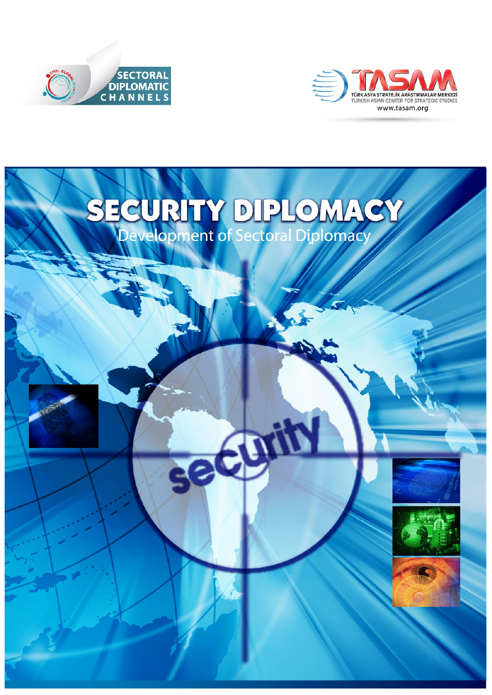



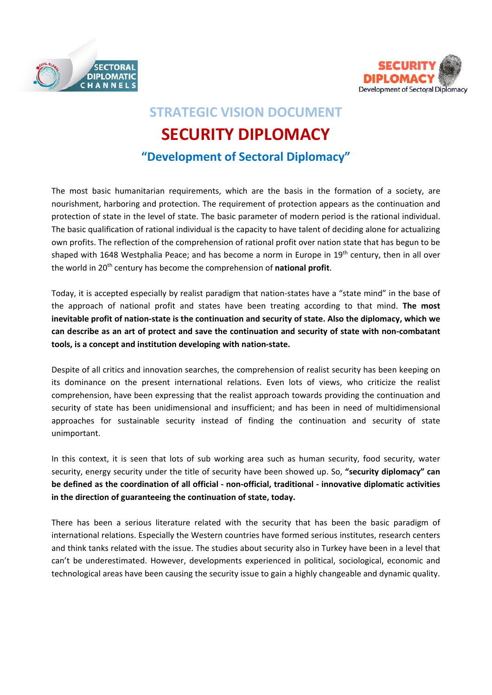



## **STRATEGIC VISION DOCUMENT SECURITY DIPLOMACY "Development of Sectoral Diplomacy"**

The most basic humanitarian requirements, which are the basis in the formation of a society, are nourishment, harboring and protection. The requirement of protection appears as the continuation and protection of state in the level of state. The basic parameter of modern period is the rational individual. The basic qualification of rational individual is the capacity to have talent of deciding alone for actualizing own profits. The reflection of the comprehension of rational profit over nation state that has begun to be shaped with 1648 Westphalia Peace; and has become a norm in Europe in 19<sup>th</sup> century, then in all over the world in 20th century has become the comprehension of **national profit**.

Today, it is accepted especially by realist paradigm that nation-states have a "state mind" in the base of the approach of national profit and states have been treating according to that mind. **The most inevitable profit of nation-state is the continuation and security of state. Also the diplomacy, which we can describe as an art of protect and save the continuation and security of state with non-combatant tools, is a concept and institution developing with nation-state.** 

Despite of all critics and innovation searches, the comprehension of realist security has been keeping on its dominance on the present international relations. Even lots of views, who criticize the realist comprehension, have been expressing that the realist approach towards providing the continuation and security of state has been unidimensional and insufficient; and has been in need of multidimensional approaches for sustainable security instead of finding the continuation and security of state unimportant.

In this context, it is seen that lots of sub working area such as human security, food security, water security, energy security under the title of security have been showed up. So, **"security diplomacy" can be defined as the coordination of all official - non-official, traditional - innovative diplomatic activities in the direction of guaranteeing the continuation of state, today.**

There has been a serious literature related with the security that has been the basic paradigm of international relations. Especially the Western countries have formed serious institutes, research centers and think tanks related with the issue. The studies about security also in Turkey have been in a level that can't be underestimated. However, developments experienced in political, sociological, economic and technological areas have been causing the security issue to gain a highly changeable and dynamic quality.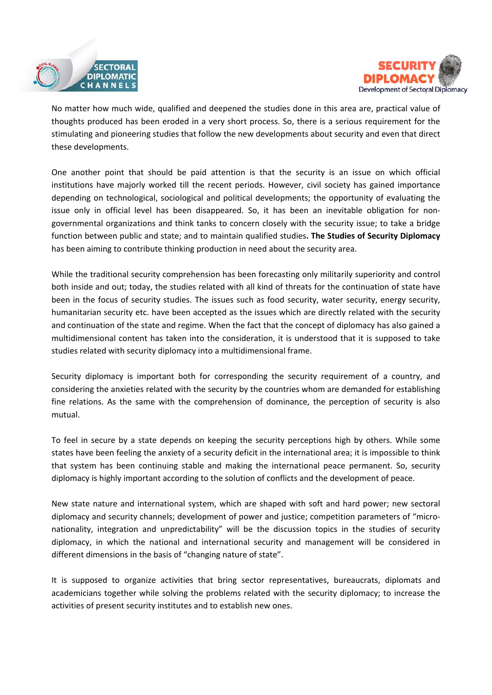



No matter how much wide, qualified and deepened the studies done in this area are, practical value of thoughts produced has been eroded in a very short process. So, there is a serious requirement for the stimulating and pioneering studies that follow the new developments about security and even that direct these developments.

One another point that should be paid attention is that the security is an issue on which official institutions have majorly worked till the recent periods. However, civil society has gained importance depending on technological, sociological and political developments; the opportunity of evaluating the issue only in official level has been disappeared. So, it has been an inevitable obligation for nongovernmental organizations and think tanks to concern closely with the security issue; to take a bridge function between public and state; and to maintain qualified studies**. The Studies of Security Diplomacy** has been aiming to contribute thinking production in need about the security area.

While the traditional security comprehension has been forecasting only militarily superiority and control both inside and out; today, the studies related with all kind of threats for the continuation of state have been in the focus of security studies. The issues such as food security, water security, energy security, humanitarian security etc. have been accepted as the issues which are directly related with the security and continuation of the state and regime. When the fact that the concept of diplomacy has also gained a multidimensional content has taken into the consideration, it is understood that it is supposed to take studies related with security diplomacy into a multidimensional frame.

Security diplomacy is important both for corresponding the security requirement of a country, and considering the anxieties related with the security by the countries whom are demanded for establishing fine relations. As the same with the comprehension of dominance, the perception of security is also mutual.

To feel in secure by a state depends on keeping the security perceptions high by others. While some states have been feeling the anxiety of a security deficit in the international area; it is impossible to think that system has been continuing stable and making the international peace permanent. So, security diplomacy is highly important according to the solution of conflicts and the development of peace.

New state nature and international system, which are shaped with soft and hard power; new sectoral diplomacy and security channels; development of power and justice; competition parameters of "micronationality, integration and unpredictability" will be the discussion topics in the studies of security diplomacy, in which the national and international security and management will be considered in different dimensions in the basis of "changing nature of state".

It is supposed to organize activities that bring sector representatives, bureaucrats, diplomats and academicians together while solving the problems related with the security diplomacy; to increase the activities of present security institutes and to establish new ones.